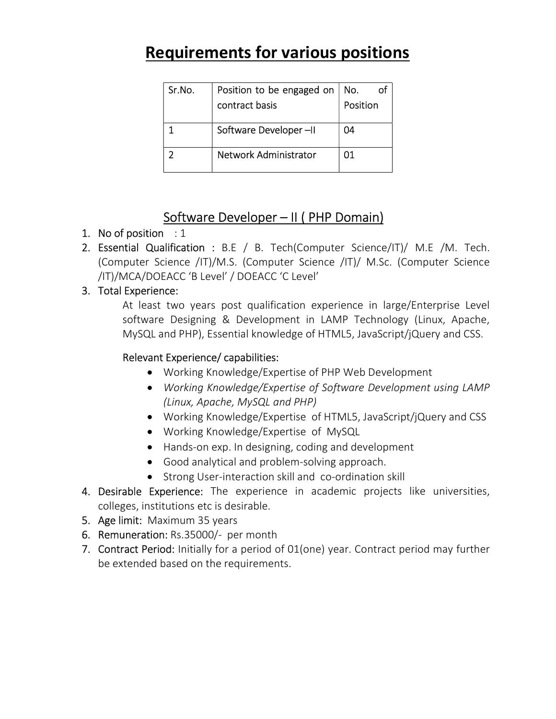# Requirements for various positions

| Sr.No. | Position to be engaged on    | No.      |
|--------|------------------------------|----------|
|        | contract basis               | Position |
|        | Software Developer-II        | 04       |
|        | <b>Network Administrator</b> | 01       |

### Software Developer – II ( PHP Domain)

#### 1. No of position  $: 1$

- 2. Essential Qualification : B.E / B. Tech(Computer Science/IT)/ M.E /M. Tech. (Computer Science /IT)/M.S. (Computer Science /IT)/ M.Sc. (Computer Science /IT)/MCA/DOEACC 'B Level' / DOEACC 'C Level'
- 3. Total Experience:

At least two years post qualification experience in large/Enterprise Level software Designing & Development in LAMP Technology (Linux, Apache, MySQL and PHP), Essential knowledge of HTML5, JavaScript/jQuery and CSS.

#### Relevant Experience/ capabilities:

- Working Knowledge/Expertise of PHP Web Development
- Working Knowledge/Expertise of Software Development using LAMP (Linux, Apache, MySQL and PHP)
- Working Knowledge/Expertise of HTML5, JavaScript/jQuery and CSS
- Working Knowledge/Expertise of MySQL
- Hands-on exp. In designing, coding and development
- Good analytical and problem-solving approach.
- Strong User-interaction skill and co-ordination skill
- 4. Desirable Experience: The experience in academic projects like universities, colleges, institutions etc is desirable.
- 5. Age limit: Maximum 35 years
- 6. Remuneration: Rs.35000/- per month
- 7. Contract Period: Initially for a period of 01(one) year. Contract period may further be extended based on the requirements.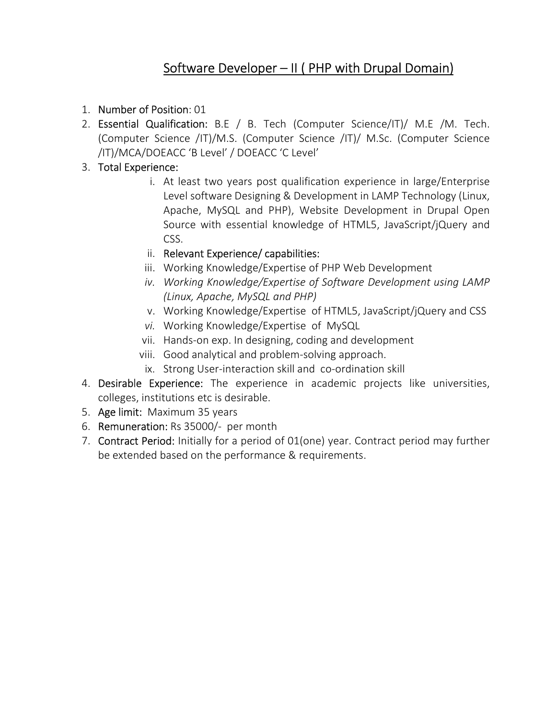# Software Developer - II ( PHP with Drupal Domain)

- 1. Number of Position: 01
- 2. Essential Qualification: B.E / B. Tech (Computer Science/IT)/ M.E /M. Tech. (Computer Science /IT)/M.S. (Computer Science /IT)/ M.Sc. (Computer Science /IT)/MCA/DOEACC 'B Level' / DOEACC 'C Level'
- 3. Total Experience:
	- i. At least two years post qualification experience in large/Enterprise Level software Designing & Development in LAMP Technology (Linux, Apache, MySQL and PHP), Website Development in Drupal Open Source with essential knowledge of HTML5, JavaScript/jQuery and CSS.
	- ii. Relevant Experience/ capabilities:
	- iii. Working Knowledge/Expertise of PHP Web Development
	- iv. Working Knowledge/Expertise of Software Development using LAMP (Linux, Apache, MySQL and PHP)
	- v. Working Knowledge/Expertise of HTML5, JavaScript/jQuery and CSS
	- vi. Working Knowledge/Expertise of MySQL
	- vii. Hands-on exp. In designing, coding and development
	- viii. Good analytical and problem-solving approach.
	- ix. Strong User-interaction skill and co-ordination skill
- 4. Desirable Experience: The experience in academic projects like universities, colleges, institutions etc is desirable.
- 5. Age limit: Maximum 35 years
- 6. Remuneration: Rs 35000/- per month
- 7. Contract Period: Initially for a period of 01(one) year. Contract period may further be extended based on the performance & requirements.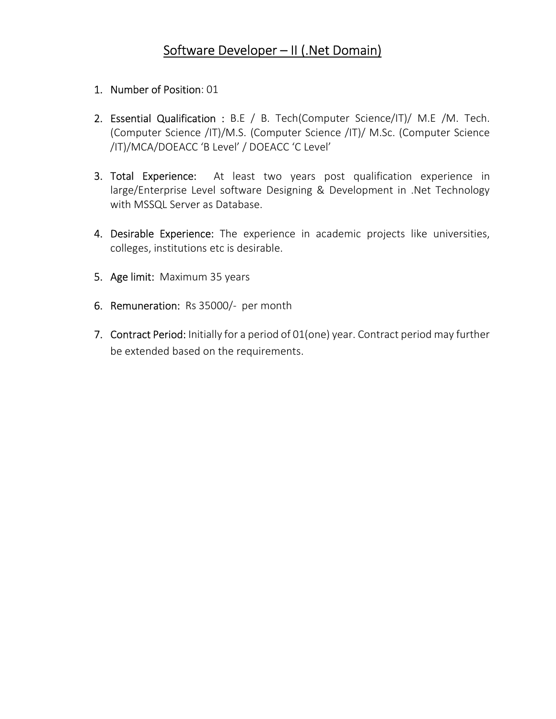### Software Developer – II (.Net Domain)

- 1. Number of Position: 01
- 2. Essential Qualification : B.E / B. Tech(Computer Science/IT)/ M.E /M. Tech. (Computer Science /IT)/M.S. (Computer Science /IT)/ M.Sc. (Computer Science /IT)/MCA/DOEACC 'B Level' / DOEACC 'C Level'
- 3. Total Experience: At least two years post qualification experience in large/Enterprise Level software Designing & Development in .Net Technology with MSSQL Server as Database.
- 4. Desirable Experience: The experience in academic projects like universities, colleges, institutions etc is desirable.
- 5. Age limit: Maximum 35 years
- 6. Remuneration: Rs 35000/- per month
- 7. Contract Period: Initially for a period of 01(one) year. Contract period may further be extended based on the requirements.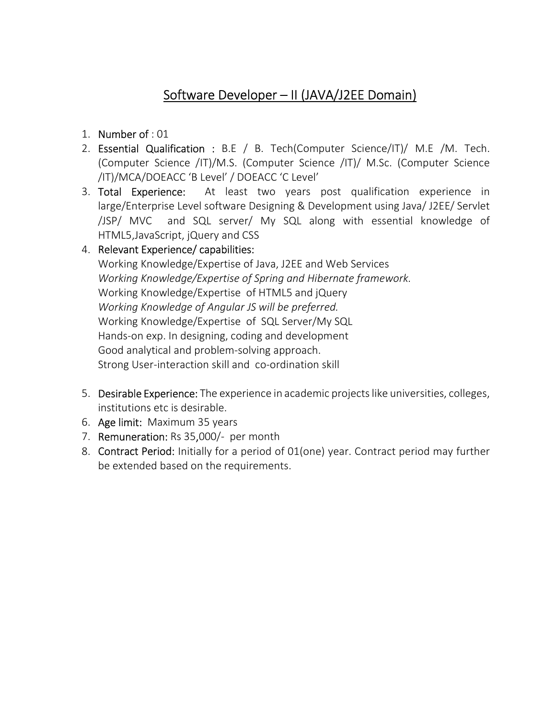## Software Developer – II (JAVA/J2EE Domain)

- 1. Number of : 01
- 2. Essential Qualification : B.E / B. Tech(Computer Science/IT)/ M.E /M. Tech. (Computer Science /IT)/M.S. (Computer Science /IT)/ M.Sc. (Computer Science /IT)/MCA/DOEACC 'B Level' / DOEACC 'C Level'
- 3. Total Experience: At least two years post qualification experience in large/Enterprise Level software Designing & Development using Java/ J2EE/ Servlet /JSP/ MVC and SQL server/ My SQL along with essential knowledge of HTML5,JavaScript, jQuery and CSS

#### 4. Relevant Experience/ capabilities:

Working Knowledge/Expertise of Java, J2EE and Web Services Working Knowledge/Expertise of Spring and Hibernate framework. Working Knowledge/Expertise of HTML5 and jQuery Working Knowledge of Angular JS will be preferred. Working Knowledge/Expertise of SQL Server/My SQL Hands-on exp. In designing, coding and development Good analytical and problem-solving approach. Strong User-interaction skill and co-ordination skill

- 5. Desirable Experience: The experience in academic projects like universities, colleges, institutions etc is desirable.
- 6. Age limit: Maximum 35 years
- 7. Remuneration: Rs 35,000/- per month
- 8. Contract Period: Initially for a period of 01(one) year. Contract period may further be extended based on the requirements.